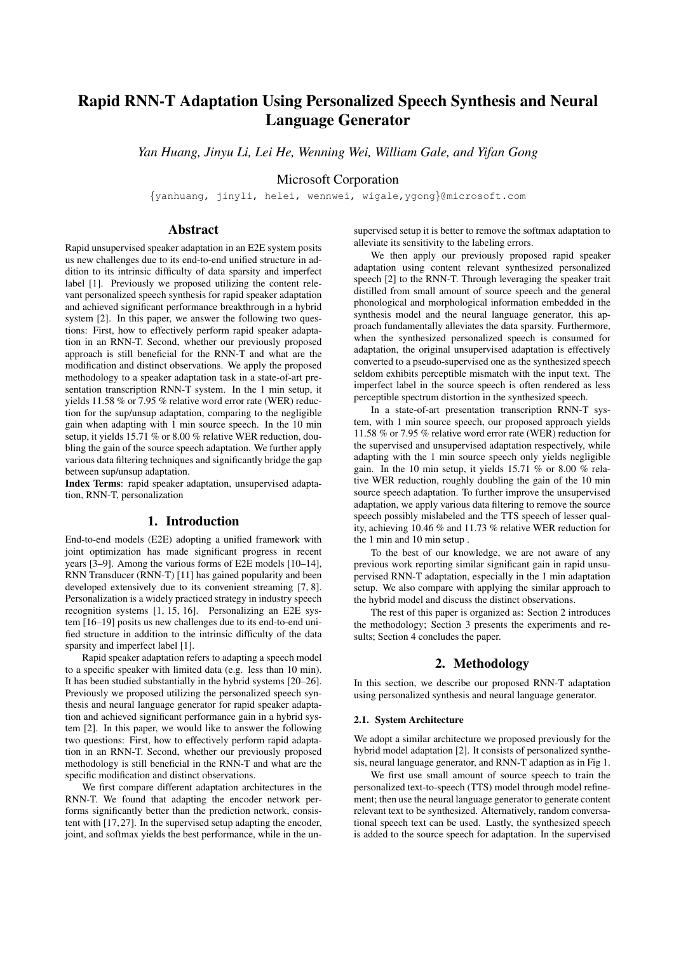# Rapid RNN-T Adaptation Using Personalized Speech Synthesis and Neural Language Generator

*Yan Huang, Jinyu Li, Lei He, Wenning Wei, William Gale, and Yifan Gong*

Microsoft Corporation

{yanhuang, jinyli, helei, wennwei, wigale,ygong}@microsoft.com

# Abstract

Rapid unsupervised speaker adaptation in an E2E system posits us new challenges due to its end-to-end unified structure in addition to its intrinsic difficulty of data sparsity and imperfect label [1]. Previously we proposed utilizing the content relevant personalized speech synthesis for rapid speaker adaptation and achieved significant performance breakthrough in a hybrid system [2]. In this paper, we answer the following two questions: First, how to effectively perform rapid speaker adaptation in an RNN-T. Second, whether our previously proposed approach is still beneficial for the RNN-T and what are the modification and distinct observations. We apply the proposed methodology to a speaker adaptation task in a state-of-art presentation transcription RNN-T system. In the 1 min setup, it yields 11.58 % or 7.95 % relative word error rate (WER) reduction for the sup/unsup adaptation, comparing to the negligible gain when adapting with 1 min source speech. In the 10 min setup, it yields 15.71 % or 8.00 % relative WER reduction, doubling the gain of the source speech adaptation. We further apply various data filtering techniques and significantly bridge the gap between sup/unsup adaptation.

Index Terms: rapid speaker adaptation, unsupervised adaptation, RNN-T, personalization

# 1. Introduction

End-to-end models (E2E) adopting a unified framework with joint optimization has made significant progress in recent years [3–9]. Among the various forms of E2E models [10–14], RNN Transducer (RNN-T) [11] has gained popularity and been developed extensively due to its convenient streaming [7, 8]. Personalization is a widely practiced strategy in industry speech recognition systems [1, 15, 16]. Personalizing an E2E system [16–19] posits us new challenges due to its end-to-end unified structure in addition to the intrinsic difficulty of the data sparsity and imperfect label [1].

Rapid speaker adaptation refers to adapting a speech model to a specific speaker with limited data (e.g. less than 10 min). It has been studied substantially in the hybrid systems [20–26]. Previously we proposed utilizing the personalized speech synthesis and neural language generator for rapid speaker adaptation and achieved significant performance gain in a hybrid system [2]. In this paper, we would like to answer the following two questions: First, how to effectively perform rapid adaptation in an RNN-T. Second, whether our previously proposed methodology is still beneficial in the RNN-T and what are the specific modification and distinct observations.

We first compare different adaptation architectures in the RNN-T. We found that adapting the encoder network performs significantly better than the prediction network, consistent with [17, 27]. In the supervised setup adapting the encoder, joint, and softmax yields the best performance, while in the unsupervised setup it is better to remove the softmax adaptation to alleviate its sensitivity to the labeling errors.

We then apply our previously proposed rapid speaker adaptation using content relevant synthesized personalized speech [2] to the RNN-T. Through leveraging the speaker trait distilled from small amount of source speech and the general phonological and morphological information embedded in the synthesis model and the neural language generator, this approach fundamentally alleviates the data sparsity. Furthermore, when the synthesized personalized speech is consumed for adaptation, the original unsupervised adaptation is effectively converted to a pseudo-supervised one as the synthesized speech seldom exhibits perceptible mismatch with the input text. The imperfect label in the source speech is often rendered as less perceptible spectrum distortion in the synthesized speech.

In a state-of-art presentation transcription RNN-T system, with 1 min source speech, our proposed approach yields 11.58 % or 7.95 % relative word error rate (WER) reduction for the supervised and unsupervised adaptation respectively, while adapting with the 1 min source speech only yields negligible gain. In the 10 min setup, it yields 15.71 % or 8.00 % relative WER reduction, roughly doubling the gain of the 10 min source speech adaptation. To further improve the unsupervised adaptation, we apply various data filtering to remove the source speech possibly mislabeled and the TTS speech of lesser quality, achieving 10.46 % and 11.73 % relative WER reduction for the 1 min and 10 min setup .

To the best of our knowledge, we are not aware of any previous work reporting similar significant gain in rapid unsupervised RNN-T adaptation, especially in the 1 min adaptation setup. We also compare with applying the similar approach to the hybrid model and discuss the distinct observations.

The rest of this paper is organized as: Section 2 introduces the methodology; Section 3 presents the experiments and results; Section 4 concludes the paper.

# 2. Methodology

In this section, we describe our proposed RNN-T adaptation using personalized synthesis and neural language generator.

#### 2.1. System Architecture

We adopt a similar architecture we proposed previously for the hybrid model adaptation [2]. It consists of personalized synthesis, neural language generator, and RNN-T adaption as in Fig 1.

We first use small amount of source speech to train the personalized text-to-speech (TTS) model through model refinement; then use the neural language generator to generate content relevant text to be synthesized. Alternatively, random conversational speech text can be used. Lastly, the synthesized speech is added to the source speech for adaptation. In the supervised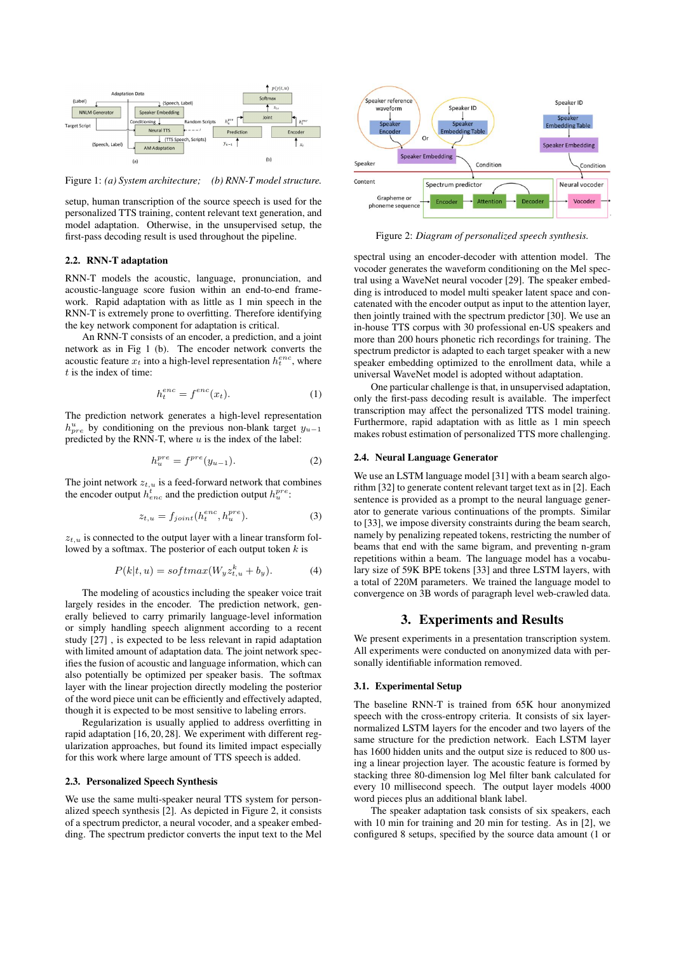

Figure 1: *(a) System architecture; (b) RNN-T model structure.*

setup, human transcription of the source speech is used for the personalized TTS training, content relevant text generation, and model adaptation. Otherwise, in the unsupervised setup, the first-pass decoding result is used throughout the pipeline.

#### 2.2. RNN-T adaptation

RNN-T models the acoustic, language, pronunciation, and acoustic-language score fusion within an end-to-end framework. Rapid adaptation with as little as 1 min speech in the RNN-T is extremely prone to overfitting. Therefore identifying the key network component for adaptation is critical.

An RNN-T consists of an encoder, a prediction, and a joint network as in Fig 1 (b). The encoder network converts the acoustic feature  $x_t$  into a high-level representation  $h_t^{enc}$ , where t is the index of time:

$$
h_t^{enc} = f^{enc}(x_t). \tag{1}
$$

The prediction network generates a high-level representation  $h_{pre}^{u}$  by conditioning on the previous non-blank target  $y_{u-1}$ predicted by the RNN-T, where  $u$  is the index of the label:

$$
h_u^{pre} = f^{pre}(y_{u-1}).\tag{2}
$$

The joint network  $z_{t,u}$  is a feed-forward network that combines the encoder output  $h_{enc}^{t}$  and the prediction output  $h_{u}^{pre}$ :

$$
z_{t,u} = f_{joint}(h_t^{enc}, h_u^{pre}). \tag{3}
$$

 $z_{t,u}$  is connected to the output layer with a linear transform followed by a softmax. The posterior of each output token  $k$  is

$$
P(k|t, u) = softmax(W_y z_{t, u}^k + b_y).
$$
 (4)

The modeling of acoustics including the speaker voice trait largely resides in the encoder. The prediction network, generally believed to carry primarily language-level information or simply handling speech alignment according to a recent study [27] , is expected to be less relevant in rapid adaptation with limited amount of adaptation data. The joint network specifies the fusion of acoustic and language information, which can also potentially be optimized per speaker basis. The softmax layer with the linear projection directly modeling the posterior of the word piece unit can be efficiently and effectively adapted, though it is expected to be most sensitive to labeling errors.

Regularization is usually applied to address overfitting in rapid adaptation [16, 20, 28]. We experiment with different regularization approaches, but found its limited impact especially for this work where large amount of TTS speech is added.

#### 2.3. Personalized Speech Synthesis

We use the same multi-speaker neural TTS system for personalized speech synthesis [2]. As depicted in Figure 2, it consists of a spectrum predictor, a neural vocoder, and a speaker embedding. The spectrum predictor converts the input text to the Mel



Figure 2: *Diagram of personalized speech synthesis.*

spectral using an encoder-decoder with attention model. The vocoder generates the waveform conditioning on the Mel spectral using a WaveNet neural vocoder [29]. The speaker embedding is introduced to model multi speaker latent space and concatenated with the encoder output as input to the attention layer, then jointly trained with the spectrum predictor [30]. We use an in-house TTS corpus with 30 professional en-US speakers and more than 200 hours phonetic rich recordings for training. The spectrum predictor is adapted to each target speaker with a new speaker embedding optimized to the enrollment data, while a universal WaveNet model is adopted without adaptation.

One particular challenge is that, in unsupervised adaptation, only the first-pass decoding result is available. The imperfect transcription may affect the personalized TTS model training. Furthermore, rapid adaptation with as little as 1 min speech makes robust estimation of personalized TTS more challenging.

#### 2.4. Neural Language Generator

We use an LSTM language model [31] with a beam search algorithm [32] to generate content relevant target text as in [2]. Each sentence is provided as a prompt to the neural language generator to generate various continuations of the prompts. Similar to [33], we impose diversity constraints during the beam search, namely by penalizing repeated tokens, restricting the number of beams that end with the same bigram, and preventing n-gram repetitions within a beam. The language model has a vocabulary size of 59K BPE tokens [33] and three LSTM layers, with a total of 220M parameters. We trained the language model to convergence on 3B words of paragraph level web-crawled data.

# 3. Experiments and Results

We present experiments in a presentation transcription system. All experiments were conducted on anonymized data with personally identifiable information removed.

### 3.1. Experimental Setup

The baseline RNN-T is trained from 65K hour anonymized speech with the cross-entropy criteria. It consists of six layernormalized LSTM layers for the encoder and two layers of the same structure for the prediction network. Each LSTM layer has 1600 hidden units and the output size is reduced to 800 using a linear projection layer. The acoustic feature is formed by stacking three 80-dimension log Mel filter bank calculated for every 10 millisecond speech. The output layer models 4000 word pieces plus an additional blank label.

The speaker adaptation task consists of six speakers, each with 10 min for training and 20 min for testing. As in [2], we configured 8 setups, specified by the source data amount (1 or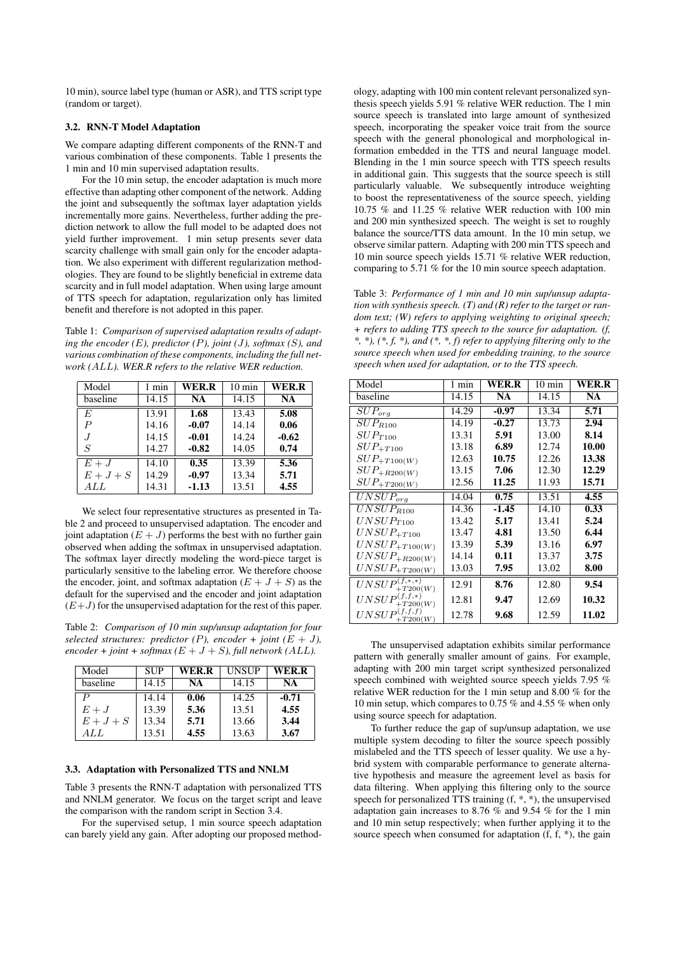10 min), source label type (human or ASR), and TTS script type (random or target).

#### 3.2. RNN-T Model Adaptation

We compare adapting different components of the RNN-T and various combination of these components. Table 1 presents the 1 min and 10 min supervised adaptation results.

For the 10 min setup, the encoder adaptation is much more effective than adapting other component of the network. Adding the joint and subsequently the softmax layer adaptation yields incrementally more gains. Nevertheless, further adding the prediction network to allow the full model to be adapted does not yield further improvement. 1 min setup presents sever data scarcity challenge with small gain only for the encoder adaptation. We also experiment with different regularization methodologies. They are found to be slightly beneficial in extreme data scarcity and in full model adaptation. When using large amount of TTS speech for adaptation, regularization only has limited benefit and therefore is not adopted in this paper.

Table 1: *Comparison of supervised adaptation results of adapting the encoder (*E*), predictor (*P*), joint (*J*), softmax (*S*), and various combination of these components, including the full network (*ALL*). WER.R refers to the relative WER reduction.*

| Model            | 1 min | WER.R     | $10 \text{ min}$ | WER.R     |
|------------------|-------|-----------|------------------|-----------|
| baseline         | 14.15 | <b>NA</b> | 14.15            | <b>NA</b> |
| E                | 13.91 | 1.68      | 13.43            | 5.08      |
| $\boldsymbol{P}$ | 14.16 | $-0.07$   | 14.14            | 0.06      |
| .J               | 14.15 | $-0.01$   | 14.24            | $-0.62$   |
| S                | 14.27 | $-0.82$   | 14.05            | 0.74      |
| $E + J$          | 14.10 | 0.35      | 13.39            | 5.36      |
| $E+J+S$          | 14.29 | $-0.97$   | 13.34            | 5.71      |
| ALL              | 14.31 | $-1.13$   | 13.51            | 4.55      |

We select four representative structures as presented in Table 2 and proceed to unsupervised adaptation. The encoder and joint adaptation  $(E + J)$  performs the best with no further gain observed when adding the softmax in unsupervised adaptation. The softmax layer directly modeling the word-piece target is particularly sensitive to the labeling error. We therefore choose the encoder, joint, and softmax adaptation  $(E + J + S)$  as the default for the supervised and the encoder and joint adaptation  $(E+J)$  for the unsupervised adaptation for the rest of this paper.

Table 2: *Comparison of 10 min sup/unsup adaptation for four selected structures: predictor*  $(P)$ , encoder + joint  $(E + J)$ ,  $encoder + joint + softmax (E + J + S)$ , full network (ALL).

| Model    | <b>SUP</b> | WER.R | UNSUP | WER.R   |
|----------|------------|-------|-------|---------|
| baseline | 14.15      | NA    | 14.15 | NA      |
|          | 14.14      | 0.06  | 14.25 | $-0.71$ |
| $E+J$    | 13.39      | 5.36  | 13.51 | 4.55    |
| $E+J+S$  | 13.34      | 5.71  | 13.66 | 3.44    |
| A L L    | 13.51      | 4.55  | 13.63 | 3.67    |

#### 3.3. Adaptation with Personalized TTS and NNLM

Table 3 presents the RNN-T adaptation with personalized TTS and NNLM generator. We focus on the target script and leave the comparison with the random script in Section 3.4.

For the supervised setup, 1 min source speech adaptation can barely yield any gain. After adopting our proposed method-

ology, adapting with 100 min content relevant personalized synthesis speech yields 5.91 % relative WER reduction. The 1 min source speech is translated into large amount of synthesized speech, incorporating the speaker voice trait from the source speech with the general phonological and morphological information embedded in the TTS and neural language model. Blending in the 1 min source speech with TTS speech results in additional gain. This suggests that the source speech is still particularly valuable. We subsequently introduce weighting to boost the representativeness of the source speech, yielding 10.75 % and 11.25 % relative WER reduction with 100 min and 200 min synthesized speech. The weight is set to roughly balance the source/TTS data amount. In the 10 min setup, we observe similar pattern. Adapting with 200 min TTS speech and 10 min source speech yields 15.71 % relative WER reduction, comparing to 5.71 % for the 10 min source speech adaptation.

Table 3: *Performance of 1 min and 10 min sup/unsup adaptation with synthesis speech. (T) and (R) refer to the target or random text; (W) refers to applying weighting to original speech; + refers to adding TTS speech to the source for adaptation. (f, \*, \*), (\*, f, \*), and (\*, \*, f) refer to applying filtering only to the source speech when used for embedding training, to the source speech when used for adaptation, or to the TTS speech.*

| Model                                   | 1 min | WER.R   | $10 \text{ min}$ | WER.R     |
|-----------------------------------------|-------|---------|------------------|-----------|
| baseline                                | 14.15 | NA      | 14.15            | <b>NA</b> |
| $\overline{SUP}_{org}$                  | 14.29 | $-0.97$ | 13.34            | 5.71      |
| $SUP_{R100}$                            | 14.19 | $-0.27$ | 13.73            | 2.94      |
| $SUP_{T100}$                            | 13.31 | 5.91    | 13.00            | 8.14      |
| $\operatorname{SUP}_{+T100}$            | 13.18 | 6.89    | 12.74            | 10.00     |
| $\operatorname{SUP}_{+T100(W)}$         | 12.63 | 10.75   | 12.26            | 13.38     |
| $SUP_{+R200(W)}$                        | 13.15 | 7.06    | 12.30            | 12.29     |
| $SUP_{+T200(W)}$                        | 12.56 | 11.25   | 11.93            | 15.71     |
| $\overline{UNSUP}_{org}$                | 14.04 | 0.75    | 13.51            | 4.55      |
| $\overline{UNSU}P_{R100}$               | 14.36 | $-1.45$ | 14.10            | 0.33      |
| $UNSUP_{T100}$                          | 13.42 | 5.17    | 13.41            | 5.24      |
| $UNSUP_{+T100}$                         | 13.47 | 4.81    | 13.50            | 6.44      |
| $UNSUP_{+T100(W)}$                      | 13.39 | 5.39    | 13.16            | 6.97      |
| $UNSUP_{+R200(W)}$                      | 14.14 | 0.11    | 13.37            | 3.75      |
| $UNSUP_{+T200(W)}$                      | 13.03 | 7.95    | 13.02            | 8.00      |
| $\overline{UNSUP_{+T200(W)}^{(f,*,*)}}$ | 12.91 | 8.76    | 12.80            | 9.54      |
| $UNSUP^{(f, f, *)}$<br>$+T200(W)$       | 12.81 | 9.47    | 12.69            | 10.32     |
| $UNSUP^{(f,f,f)}$<br>$+T200(W)$         | 12.78 | 9.68    | 12.59            | 11.02     |

The unsupervised adaptation exhibits similar performance pattern with generally smaller amount of gains. For example, adapting with 200 min target script synthesized personalized speech combined with weighted source speech yields 7.95 % relative WER reduction for the 1 min setup and 8.00 % for the 10 min setup, which compares to 0.75 % and 4.55 % when only using source speech for adaptation.

To further reduce the gap of sup/unsup adaptation, we use multiple system decoding to filter the source speech possibly mislabeled and the TTS speech of lesser quality. We use a hybrid system with comparable performance to generate alternative hypothesis and measure the agreement level as basis for data filtering. When applying this filtering only to the source speech for personalized TTS training (f, \*, \*), the unsupervised adaptation gain increases to 8.76 % and 9.54 % for the 1 min and 10 min setup respectively; when further applying it to the source speech when consumed for adaptation (f, f,  $*$ ), the gain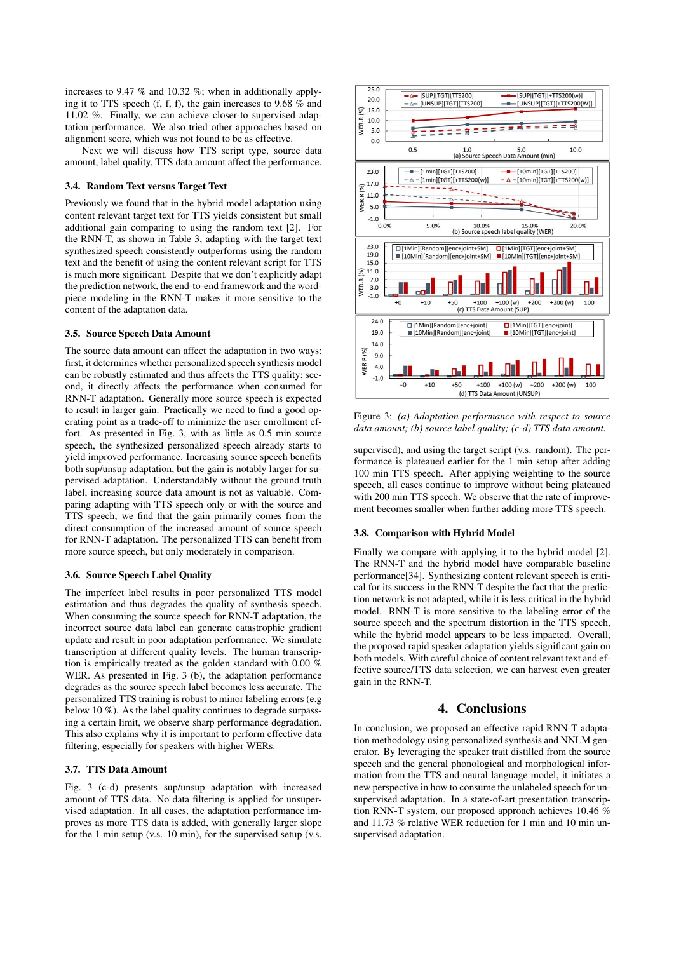increases to 9.47 % and 10.32 %; when in additionally applying it to TTS speech (f, f, f), the gain increases to 9.68 % and 11.02 %. Finally, we can achieve closer-to supervised adaptation performance. We also tried other approaches based on alignment score, which was not found to be as effective.

Next we will discuss how TTS script type, source data amount, label quality, TTS data amount affect the performance.

## 3.4. Random Text versus Target Text

Previously we found that in the hybrid model adaptation using content relevant target text for TTS yields consistent but small additional gain comparing to using the random text [2]. For the RNN-T, as shown in Table 3, adapting with the target text synthesized speech consistently outperforms using the random text and the benefit of using the content relevant script for TTS is much more significant. Despite that we don't explicitly adapt the prediction network, the end-to-end framework and the wordpiece modeling in the RNN-T makes it more sensitive to the content of the adaptation data.

#### 3.5. Source Speech Data Amount

The source data amount can affect the adaptation in two ways: first, it determines whether personalized speech synthesis model can be robustly estimated and thus affects the TTS quality; second, it directly affects the performance when consumed for RNN-T adaptation. Generally more source speech is expected to result in larger gain. Practically we need to find a good operating point as a trade-off to minimize the user enrollment effort. As presented in Fig. 3, with as little as 0.5 min source speech, the synthesized personalized speech already starts to yield improved performance. Increasing source speech benefits both sup/unsup adaptation, but the gain is notably larger for supervised adaptation. Understandably without the ground truth label, increasing source data amount is not as valuable. Comparing adapting with TTS speech only or with the source and TTS speech, we find that the gain primarily comes from the direct consumption of the increased amount of source speech for RNN-T adaptation. The personalized TTS can benefit from more source speech, but only moderately in comparison.

#### 3.6. Source Speech Label Quality

The imperfect label results in poor personalized TTS model estimation and thus degrades the quality of synthesis speech. When consuming the source speech for RNN-T adaptation, the incorrect source data label can generate catastrophic gradient update and result in poor adaptation performance. We simulate transcription at different quality levels. The human transcription is empirically treated as the golden standard with 0.00 % WER. As presented in Fig. 3 (b), the adaptation performance degrades as the source speech label becomes less accurate. The personalized TTS training is robust to minor labeling errors (e.g below 10 %). As the label quality continues to degrade surpassing a certain limit, we observe sharp performance degradation. This also explains why it is important to perform effective data filtering, especially for speakers with higher WERs.

# 3.7. TTS Data Amount

Fig. 3 (c-d) presents sup/unsup adaptation with increased amount of TTS data. No data filtering is applied for unsupervised adaptation. In all cases, the adaptation performance improves as more TTS data is added, with generally larger slope for the 1 min setup (v.s. 10 min), for the supervised setup (v.s.



Figure 3: *(a) Adaptation performance with respect to source data amount; (b) source label quality; (c-d) TTS data amount.*

supervised), and using the target script (v.s. random). The performance is plateaued earlier for the 1 min setup after adding 100 min TTS speech. After applying weighting to the source speech, all cases continue to improve without being plateaued with 200 min TTS speech. We observe that the rate of improvement becomes smaller when further adding more TTS speech.

#### 3.8. Comparison with Hybrid Model

Finally we compare with applying it to the hybrid model [2]. The RNN-T and the hybrid model have comparable baseline performance[34]. Synthesizing content relevant speech is critical for its success in the RNN-T despite the fact that the prediction network is not adapted, while it is less critical in the hybrid model. RNN-T is more sensitive to the labeling error of the source speech and the spectrum distortion in the TTS speech, while the hybrid model appears to be less impacted. Overall, the proposed rapid speaker adaptation yields significant gain on both models. With careful choice of content relevant text and effective source/TTS data selection, we can harvest even greater gain in the RNN-T.

# 4. Conclusions

In conclusion, we proposed an effective rapid RNN-T adaptation methodology using personalized synthesis and NNLM generator. By leveraging the speaker trait distilled from the source speech and the general phonological and morphological information from the TTS and neural language model, it initiates a new perspective in how to consume the unlabeled speech for unsupervised adaptation. In a state-of-art presentation transcription RNN-T system, our proposed approach achieves 10.46 % and 11.73 % relative WER reduction for 1 min and 10 min unsupervised adaptation.